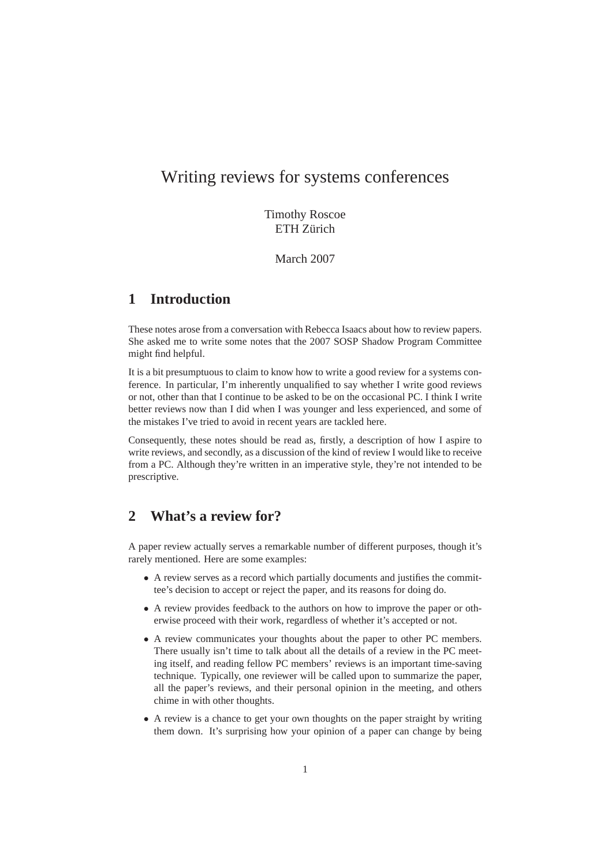# Writing reviews for systems conferences

Timothy Roscoe ETH Zürich

March 2007

# **1 Introduction**

These notes arose from a conversation with Rebecca Isaacs about how to review papers. She asked me to write some notes that the 2007 SOSP Shadow Program Committee might find helpful.

It is a bit presumptuous to claim to know how to write a good review for a systems conference. In particular, I'm inherently unqualified to say whether I write good reviews or not, other than that I continue to be asked to be on the occasional PC. I think I write better reviews now than I did when I was younger and less experienced, and some of the mistakes I've tried to avoid in recent years are tackled here.

Consequently, these notes should be read as, firstly, a description of how I aspire to write reviews, and secondly, as a discussion of the kind of review I would like to receive from a PC. Although they're written in an imperative style, they're not intended to be prescriptive.

# **2 What's a review for?**

A paper review actually serves a remarkable number of different purposes, though it's rarely mentioned. Here are some examples:

- A review serves as a record which partially documents and justifies the committee's decision to accept or reject the paper, and its reasons for doing do.
- A review provides feedback to the authors on how to improve the paper or otherwise proceed with their work, regardless of whether it's accepted or not.
- A review communicates your thoughts about the paper to other PC members. There usually isn't time to talk about all the details of a review in the PC meeting itself, and reading fellow PC members' reviews is an important time-saving technique. Typically, one reviewer will be called upon to summarize the paper, all the paper's reviews, and their personal opinion in the meeting, and others chime in with other thoughts.
- A review is a chance to get your own thoughts on the paper straight by writing them down. It's surprising how your opinion of a paper can change by being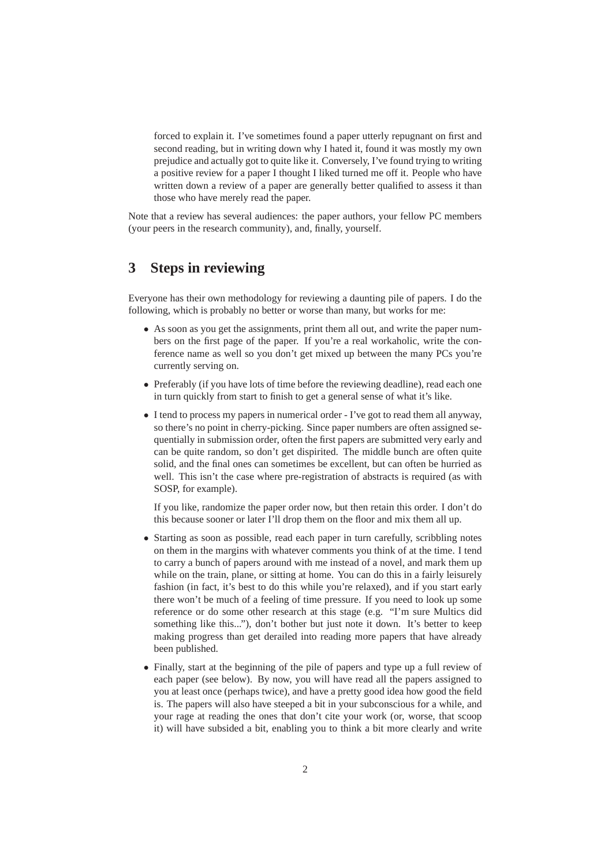forced to explain it. I've sometimes found a paper utterly repugnant on first and second reading, but in writing down why I hated it, found it was mostly my own prejudice and actually got to quite like it. Conversely, I've found trying to writing a positive review for a paper I thought I liked turned me off it. People who have written down a review of a paper are generally better qualified to assess it than those who have merely read the paper.

Note that a review has several audiences: the paper authors, your fellow PC members (your peers in the research community), and, finally, yourself.

#### **3 Steps in reviewing**

Everyone has their own methodology for reviewing a daunting pile of papers. I do the following, which is probably no better or worse than many, but works for me:

- As soon as you get the assignments, print them all out, and write the paper numbers on the first page of the paper. If you're a real workaholic, write the conference name as well so you don't get mixed up between the many PCs you're currently serving on.
- Preferably (if you have lots of time before the reviewing deadline), read each one in turn quickly from start to finish to get a general sense of what it's like.
- I tend to process my papers in numerical order I've got to read them all anyway, so there's no point in cherry-picking. Since paper numbers are often assigned sequentially in submission order, often the first papers are submitted very early and can be quite random, so don't get dispirited. The middle bunch are often quite solid, and the final ones can sometimes be excellent, but can often be hurried as well. This isn't the case where pre-registration of abstracts is required (as with SOSP, for example).

If you like, randomize the paper order now, but then retain this order. I don't do this because sooner or later I'll drop them on the floor and mix them all up.

- Starting as soon as possible, read each paper in turn carefully, scribbling notes on them in the margins with whatever comments you think of at the time. I tend to carry a bunch of papers around with me instead of a novel, and mark them up while on the train, plane, or sitting at home. You can do this in a fairly leisurely fashion (in fact, it's best to do this while you're relaxed), and if you start early there won't be much of a feeling of time pressure. If you need to look up some reference or do some other research at this stage (e.g. "I'm sure Multics did something like this..."), don't bother but just note it down. It's better to keep making progress than get derailed into reading more papers that have already been published.
- Finally, start at the beginning of the pile of papers and type up a full review of each paper (see below). By now, you will have read all the papers assigned to you at least once (perhaps twice), and have a pretty good idea how good the field is. The papers will also have steeped a bit in your subconscious for a while, and your rage at reading the ones that don't cite your work (or, worse, that scoop it) will have subsided a bit, enabling you to think a bit more clearly and write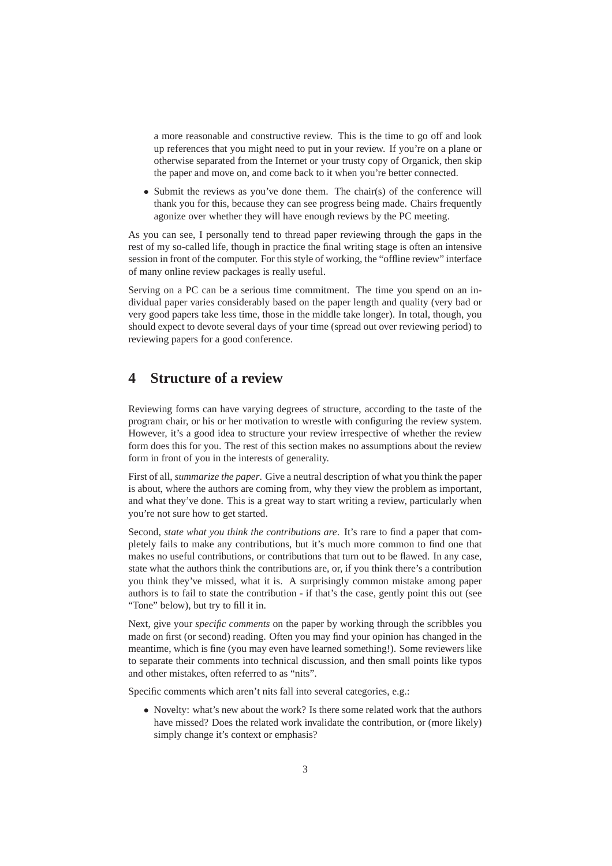a more reasonable and constructive review. This is the time to go off and look up references that you might need to put in your review. If you're on a plane or otherwise separated from the Internet or your trusty copy of Organick, then skip the paper and move on, and come back to it when you're better connected.

• Submit the reviews as you've done them. The chair(s) of the conference will thank you for this, because they can see progress being made. Chairs frequently agonize over whether they will have enough reviews by the PC meeting.

As you can see, I personally tend to thread paper reviewing through the gaps in the rest of my so-called life, though in practice the final writing stage is often an intensive session in front of the computer. For this style of working, the "offline review" interface of many online review packages is really useful.

Serving on a PC can be a serious time commitment. The time you spend on an individual paper varies considerably based on the paper length and quality (very bad or very good papers take less time, those in the middle take longer). In total, though, you should expect to devote several days of your time (spread out over reviewing period) to reviewing papers for a good conference.

### **4 Structure of a review**

Reviewing forms can have varying degrees of structure, according to the taste of the program chair, or his or her motivation to wrestle with configuring the review system. However, it's a good idea to structure your review irrespective of whether the review form does this for you. The rest of this section makes no assumptions about the review form in front of you in the interests of generality.

First of all, *summarize the paper*. Give a neutral description of what you think the paper is about, where the authors are coming from, why they view the problem as important, and what they've done. This is a great way to start writing a review, particularly when you're not sure how to get started.

Second, *state what you think the contributions are*. It's rare to find a paper that completely fails to make any contributions, but it's much more common to find one that makes no useful contributions, or contributions that turn out to be flawed. In any case, state what the authors think the contributions are, or, if you think there's a contribution you think they've missed, what it is. A surprisingly common mistake among paper authors is to fail to state the contribution - if that's the case, gently point this out (see "Tone" below), but try to fill it in.

Next, give your *specific comments* on the paper by working through the scribbles you made on first (or second) reading. Often you may find your opinion has changed in the meantime, which is fine (you may even have learned something!). Some reviewers like to separate their comments into technical discussion, and then small points like typos and other mistakes, often referred to as "nits".

Specific comments which aren't nits fall into several categories, e.g.:

• Novelty: what's new about the work? Is there some related work that the authors have missed? Does the related work invalidate the contribution, or (more likely) simply change it's context or emphasis?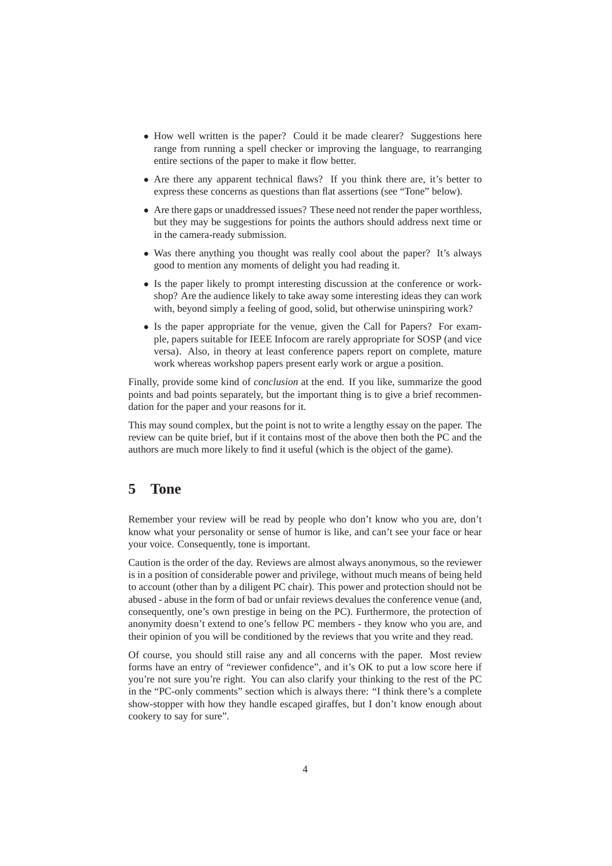- How well written is the paper? Could it be made clearer? Suggestions here range from running a spell checker or improving the language, to rearranging entire sections of the paper to make it flow better.
- Are there any apparent technical flaws? If you think there are, it's better to express these concerns as questions than flat assertions (see "Tone" below).
- Are there gaps or unaddressed issues? These need not render the paper worthless, but they may be suggestions for points the authors should address next time or in the camera-ready submission.
- Was there anything you thought was really cool about the paper? It's always good to mention any moments of delight you had reading it.
- Is the paper likely to prompt interesting discussion at the conference or workshop? Are the audience likely to take away some interesting ideas they can work with, beyond simply a feeling of good, solid, but otherwise uninspiring work?
- Is the paper appropriate for the venue, given the Call for Papers? For example, papers suitable for IEEE Infocom are rarely appropriate for SOSP (and vice versa). Also, in theory at least conference papers report on complete, mature work whereas workshop papers present early work or argue a position.

Finally, provide some kind of *conclusion* at the end. If you like, summarize the good points and bad points separately, but the important thing is to give a brief recommendation for the paper and your reasons for it.

This may sound complex, but the point is not to write a lengthy essay on the paper. The review can be quite brief, but if it contains most of the above then both the PC and the authors are much more likely to find it useful (which is the object of the game).

### **5 Tone**

Remember your review will be read by people who don't know who you are, don't know what your personality or sense of humor is like, and can't see your face or hear your voice. Consequently, tone is important.

Caution is the order of the day. Reviews are almost always anonymous, so the reviewer is in a position of considerable power and privilege, without much means of being held to account (other than by a diligent PC chair). This power and protection should not be abused - abuse in the form of bad or unfair reviews devalues the conference venue (and, consequently, one's own prestige in being on the PC). Furthermore, the protection of anonymity doesn't extend to one's fellow PC members - they know who you are, and their opinion of you will be conditioned by the reviews that you write and they read.

Of course, you should still raise any and all concerns with the paper. Most review forms have an entry of "reviewer confidence", and it's OK to put a low score here if you're not sure you're right. You can also clarify your thinking to the rest of the PC in the "PC-only comments" section which is always there: "I think there's a complete show-stopper with how they handle escaped giraffes, but I don't know enough about cookery to say for sure".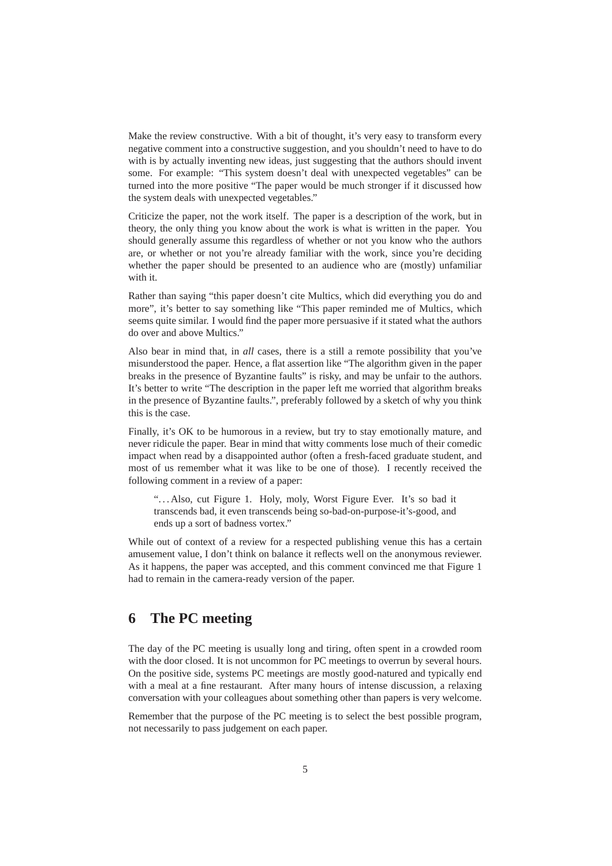Make the review constructive. With a bit of thought, it's very easy to transform every negative comment into a constructive suggestion, and you shouldn't need to have to do with is by actually inventing new ideas, just suggesting that the authors should invent some. For example: "This system doesn't deal with unexpected vegetables" can be turned into the more positive "The paper would be much stronger if it discussed how the system deals with unexpected vegetables."

Criticize the paper, not the work itself. The paper is a description of the work, but in theory, the only thing you know about the work is what is written in the paper. You should generally assume this regardless of whether or not you know who the authors are, or whether or not you're already familiar with the work, since you're deciding whether the paper should be presented to an audience who are (mostly) unfamiliar with it.

Rather than saying "this paper doesn't cite Multics, which did everything you do and more", it's better to say something like "This paper reminded me of Multics, which seems quite similar. I would find the paper more persuasive if it stated what the authors do over and above Multics."

Also bear in mind that, in *all* cases, there is a still a remote possibility that you've misunderstood the paper. Hence, a flat assertion like "The algorithm given in the paper breaks in the presence of Byzantine faults" is risky, and may be unfair to the authors. It's better to write "The description in the paper left me worried that algorithm breaks in the presence of Byzantine faults.", preferably followed by a sketch of why you think this is the case.

Finally, it's OK to be humorous in a review, but try to stay emotionally mature, and never ridicule the paper. Bear in mind that witty comments lose much of their comedic impact when read by a disappointed author (often a fresh-faced graduate student, and most of us remember what it was like to be one of those). I recently received the following comment in a review of a paper:

"...Also, cut Figure 1. Holy, moly, Worst Figure Ever. It's so bad it transcends bad, it even transcends being so-bad-on-purpose-it's-good, and ends up a sort of badness vortex."

While out of context of a review for a respected publishing venue this has a certain amusement value, I don't think on balance it reflects well on the anonymous reviewer. As it happens, the paper was accepted, and this comment convinced me that Figure 1 had to remain in the camera-ready version of the paper.

#### **6 The PC meeting**

The day of the PC meeting is usually long and tiring, often spent in a crowded room with the door closed. It is not uncommon for PC meetings to overrun by several hours. On the positive side, systems PC meetings are mostly good-natured and typically end with a meal at a fine restaurant. After many hours of intense discussion, a relaxing conversation with your colleagues about something other than papers is very welcome.

Remember that the purpose of the PC meeting is to select the best possible program, not necessarily to pass judgement on each paper.